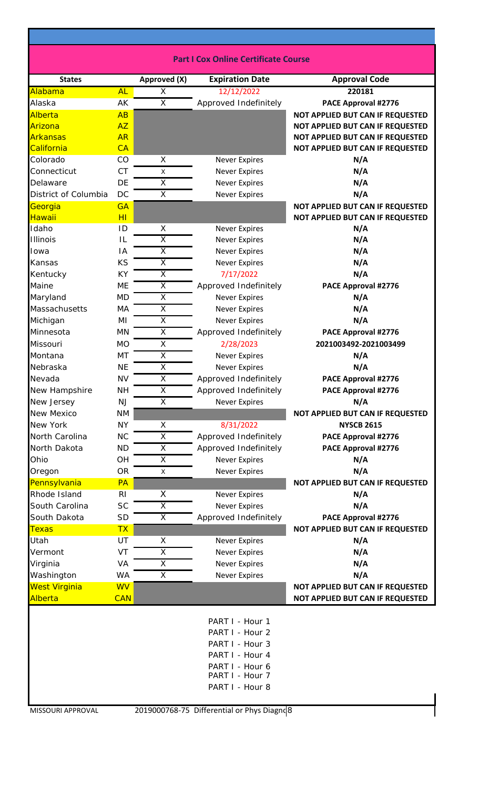| <b>Part I Cox Online Certificate Course</b> |  |
|---------------------------------------------|--|
|---------------------------------------------|--|

| <b>States</b>        |                | Approved (X)            | <b>Expiration Date</b>                                                                                                            | <b>Approval Code</b>             |
|----------------------|----------------|-------------------------|-----------------------------------------------------------------------------------------------------------------------------------|----------------------------------|
| Alabama              | <b>AL</b>      | X                       | 12/12/2022                                                                                                                        | 220181                           |
| Alaska               | AK             | $\overline{\mathsf{x}}$ | Approved Indefinitely                                                                                                             | PACE Approval #2776              |
| Alberta              | AB             |                         |                                                                                                                                   | NOT APPLIED BUT CAN IF REQUESTED |
| Arizona              | AZ             |                         |                                                                                                                                   | NOT APPLIED BUT CAN IF REQUESTED |
| Arkansas             | <b>AR</b>      |                         |                                                                                                                                   | NOT APPLIED BUT CAN IF REQUESTED |
| California           | CA             |                         |                                                                                                                                   | NOT APPLIED BUT CAN IF REQUESTED |
| Colorado             | CO             | X                       | <b>Never Expires</b>                                                                                                              | N/A                              |
| Connecticut          | <b>CT</b>      | X                       | <b>Never Expires</b>                                                                                                              | N/A                              |
| Delaware             | DE             | $\overline{\mathsf{x}}$ | <b>Never Expires</b>                                                                                                              | N/A                              |
| District of Columbia | <b>DC</b>      | X                       | <b>Never Expires</b>                                                                                                              | N/A                              |
| Georgia              | <b>GA</b>      |                         |                                                                                                                                   | NOT APPLIED BUT CAN IF REQUESTED |
| Hawaii               | H <sub>l</sub> |                         |                                                                                                                                   | NOT APPLIED BUT CAN IF REQUESTED |
| Idaho                | ID             | X                       | <b>Never Expires</b>                                                                                                              | N/A                              |
| <b>Illinois</b>      | L              | $\overline{\mathsf{x}}$ | <b>Never Expires</b>                                                                                                              | N/A                              |
| Iowa                 | IA             | $\overline{\mathsf{x}}$ | <b>Never Expires</b>                                                                                                              | N/A                              |
| Kansas               | KS             | $\overline{X}$          | <b>Never Expires</b>                                                                                                              | N/A                              |
| Kentucky             | KY             | X                       | 7/17/2022                                                                                                                         | N/A                              |
| Maine                | <b>ME</b>      | $\overline{\mathsf{x}}$ | Approved Indefinitely                                                                                                             | <b>PACE Approval #2776</b>       |
|                      |                |                         |                                                                                                                                   |                                  |
| Maryland             | <b>MD</b>      | X                       | <b>Never Expires</b>                                                                                                              | N/A                              |
| Massachusetts        | MA             | $\overline{\mathsf{x}}$ | <b>Never Expires</b>                                                                                                              | N/A                              |
| Michigan             | MI             | $\overline{X}$          | <b>Never Expires</b>                                                                                                              | N/A                              |
| Minnesota            | <b>MN</b>      | X                       | Approved Indefinitely                                                                                                             | PACE Approval #2776              |
| Missouri             | <b>MO</b>      | X                       | 2/28/2023                                                                                                                         | 2021003492-2021003499            |
| Montana              | MT             | $\overline{X}$          | <b>Never Expires</b>                                                                                                              | N/A                              |
| Nebraska             | <b>NE</b>      | X                       | <b>Never Expires</b>                                                                                                              | N/A                              |
| Nevada               | <b>NV</b>      | $\overline{\mathsf{x}}$ | Approved Indefinitely                                                                                                             | <b>PACE Approval #2776</b>       |
| New Hampshire        | <b>NH</b>      | $\overline{X}$          | Approved Indefinitely                                                                                                             | PACE Approval #2776              |
| New Jersey           | <b>NJ</b>      | X                       | <b>Never Expires</b>                                                                                                              | N/A                              |
| <b>New Mexico</b>    | <b>NM</b>      |                         |                                                                                                                                   | NOT APPLIED BUT CAN IF REQUESTED |
| New York             | <b>NY</b>      | Χ                       | 8/31/2022                                                                                                                         | <b>NYSCB 2615</b>                |
| North Carolina       | <b>NC</b>      | $\overline{X}$          | Approved Indefinitely                                                                                                             | <b>PACE Approval #2776</b>       |
| North Dakota         | <b>ND</b>      | X                       | Approved Indefinitely                                                                                                             | PACE Approval #2776              |
| Ohio                 | OH             | $\overline{\mathsf{x}}$ | <b>Never Expires</b>                                                                                                              | N/A                              |
| Oregon               | <b>OR</b>      | X                       | <b>Never Expires</b>                                                                                                              | N/A                              |
| Pennsylvania         | <b>PA</b>      |                         |                                                                                                                                   | NOT APPLIED BUT CAN IF REQUESTED |
| Rhode Island         | R <sub>l</sub> | X                       | <b>Never Expires</b>                                                                                                              | N/A                              |
| South Carolina       | <b>SC</b>      | $\overline{\mathsf{x}}$ | <b>Never Expires</b>                                                                                                              | N/A                              |
| South Dakota         | <b>SD</b>      | X                       | Approved Indefinitely                                                                                                             | PACE Approval #2776              |
| Texas                | <b>TX</b>      |                         |                                                                                                                                   | NOT APPLIED BUT CAN IF REQUESTED |
| Utah                 | <b>UT</b>      | X                       | <b>Never Expires</b>                                                                                                              | N/A                              |
| Vermont              | VT             | X                       | <b>Never Expires</b>                                                                                                              | N/A                              |
| Virginia             | VA             | $\overline{X}$          | <b>Never Expires</b>                                                                                                              | N/A                              |
| Washington           | WA             | X                       | <b>Never Expires</b>                                                                                                              | N/A                              |
| <b>West Virginia</b> | <b>WV</b>      |                         |                                                                                                                                   | NOT APPLIED BUT CAN IF REQUESTED |
| Alberta              | <b>CAN</b>     |                         |                                                                                                                                   | NOT APPLIED BUT CAN IF REQUESTED |
|                      |                |                         | PART I - Hour 1<br>PART I - Hour 2<br>PART I - Hour 3<br>PART I - Hour 4<br>PART I - Hour 6<br>PART I - Hour 7<br>PART I - Hour 8 |                                  |
| MISSOURI APPROVAL    |                |                         | 2019000768-75 Differential or Phys Diagnd 8                                                                                       |                                  |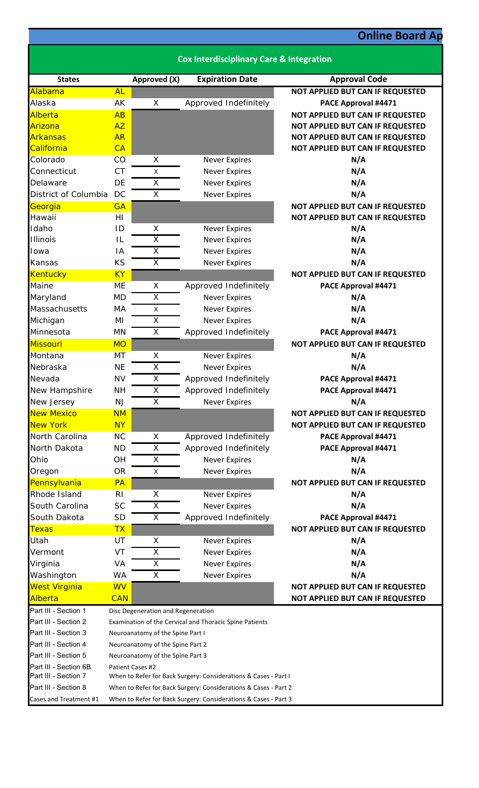## **Online Board Ap**

| <b>Cox Interdisciplinary Care &amp; Integration</b> |                                                                                               |                         |                                              |                                                                      |  |
|-----------------------------------------------------|-----------------------------------------------------------------------------------------------|-------------------------|----------------------------------------------|----------------------------------------------------------------------|--|
| <b>States</b>                                       |                                                                                               | Approved (X)            | <b>Expiration Date</b>                       | <b>Approval Code</b>                                                 |  |
| Alabama                                             | <b>AL</b>                                                                                     |                         |                                              | NOT APPLIED BUT CAN IF REQUESTED                                     |  |
| Alaska                                              | AK                                                                                            | X                       | Approved Indefinitely                        | PACE Approval #4471                                                  |  |
| Alberta                                             | AB                                                                                            |                         |                                              | NOT APPLIED BUT CAN IF REQUESTED                                     |  |
| Arizona                                             | AZ                                                                                            |                         |                                              | NOT APPLIED BUT CAN IF REQUESTED                                     |  |
| <b>Arkansas</b>                                     | <b>AR</b>                                                                                     |                         |                                              | NOT APPLIED BUT CAN IF REQUESTED                                     |  |
| California                                          | CA                                                                                            |                         |                                              | NOT APPLIED BUT CAN IF REQUESTED                                     |  |
| Colorado                                            | CO                                                                                            | X                       | <b>Never Expires</b>                         | N/A                                                                  |  |
| Connecticut                                         | <b>CT</b>                                                                                     | $\mathsf{X}$            | <b>Never Expires</b>                         | N/A                                                                  |  |
| Delaware                                            | DE                                                                                            | X                       | <b>Never Expires</b>                         | N/A                                                                  |  |
| District of Columbia                                | DC                                                                                            | $\overline{\mathsf{X}}$ | <b>Never Expires</b>                         | N/A                                                                  |  |
| Georgia                                             | <b>GA</b>                                                                                     |                         |                                              | NOT APPLIED BUT CAN IF REQUESTED                                     |  |
| Hawaii                                              | H1                                                                                            |                         |                                              | NOT APPLIED BUT CAN IF REQUESTED                                     |  |
| Idaho                                               | ID                                                                                            | X                       | <b>Never Expires</b>                         | N/A                                                                  |  |
| <b>Illinois</b>                                     | IL                                                                                            | X                       | <b>Never Expires</b>                         | N/A                                                                  |  |
| Iowa                                                | ΙA                                                                                            | $\overline{\mathsf{x}}$ | <b>Never Expires</b>                         | N/A                                                                  |  |
| Kansas                                              | KS                                                                                            | X                       | <b>Never Expires</b>                         | N/A                                                                  |  |
| Kentucky                                            | <b>KY</b>                                                                                     |                         |                                              | <b>NOT APPLIED BUT CAN IF REQUESTED</b>                              |  |
| Maine                                               | ME                                                                                            | X                       | Approved Indefinitely                        | PACE Approval #4471                                                  |  |
| Maryland                                            | <b>MD</b>                                                                                     | X                       | <b>Never Expires</b>                         | N/A                                                                  |  |
| Massachusetts                                       | МA                                                                                            | X                       | <b>Never Expires</b>                         | N/A                                                                  |  |
| Michigan                                            | MI                                                                                            | X                       | <b>Never Expires</b>                         | N/A                                                                  |  |
| Minnesota                                           | MN                                                                                            | X                       | Approved Indefinitely                        | PACE Approval #4471                                                  |  |
| <b>Missouri</b>                                     | <b>MO</b>                                                                                     |                         |                                              | NOT APPLIED BUT CAN IF REQUESTED                                     |  |
| Montana                                             | MT                                                                                            | X                       | <b>Never Expires</b>                         | N/A                                                                  |  |
| Nebraska                                            | <b>NE</b>                                                                                     | X                       | <b>Never Expires</b>                         | N/A                                                                  |  |
| Nevada                                              | <b>NV</b>                                                                                     | $\overline{\mathsf{X}}$ | Approved Indefinitely                        | PACE Approval #4471                                                  |  |
| New Hampshire                                       | <b>NH</b>                                                                                     | X                       | Approved Indefinitely                        | PACE Approval #4471                                                  |  |
| New Jersey                                          | NJ                                                                                            | $\overline{\mathsf{X}}$ | Never Expires                                | N/A                                                                  |  |
| <b>New Mexico</b>                                   | <b>NM</b>                                                                                     |                         |                                              | NOT APPLIED BUT CAN IF REQUESTED                                     |  |
| <b>New York</b>                                     | <b>NY</b>                                                                                     |                         |                                              | NOT APPLIED BUT CAN IF REQUESTED                                     |  |
| North Carolina                                      | <b>NC</b>                                                                                     | X                       | Approved Indefinitely                        | PACE Approval #4471                                                  |  |
| North Dakota                                        | <b>ND</b>                                                                                     | $\overline{\mathsf{x}}$ | Approved Indefinitely                        | PACE Approval #4471                                                  |  |
| Ohio                                                | OH                                                                                            | X                       | <b>Never Expires</b>                         | N/A                                                                  |  |
| Oregon                                              | <b>OR</b>                                                                                     | X                       | <b>Never Expires</b>                         | N/A                                                                  |  |
| Pennsylvania                                        | PA                                                                                            |                         |                                              | NOT APPLIED BUT CAN IF REQUESTED                                     |  |
| Rhode Island                                        | R <sub>l</sub>                                                                                | X                       | <b>Never Expires</b>                         | N/A                                                                  |  |
| South Carolina                                      | <b>SC</b>                                                                                     | $\overline{\mathsf{X}}$ | <b>Never Expires</b>                         | N/A                                                                  |  |
| South Dakota                                        | <b>SD</b>                                                                                     | X                       | Approved Indefinitely                        | PACE Approval #4471                                                  |  |
| <b>Texas</b>                                        | <b>TX</b>                                                                                     |                         |                                              | NOT APPLIED BUT CAN IF REQUESTED                                     |  |
| Utah                                                | UT                                                                                            | Χ                       | <b>Never Expires</b>                         | N/A                                                                  |  |
| Vermont                                             | VT                                                                                            | Χ                       |                                              | N/A                                                                  |  |
| Virginia                                            | VA                                                                                            | X                       | <b>Never Expires</b><br><b>Never Expires</b> | N/A                                                                  |  |
|                                                     | <b>WA</b>                                                                                     | $\overline{\mathsf{x}}$ | <b>Never Expires</b>                         | N/A                                                                  |  |
| Washington                                          | <b>WV</b>                                                                                     |                         |                                              |                                                                      |  |
| <b>West Virginia</b><br>Alberta                     | <b>CAN</b>                                                                                    |                         |                                              | NOT APPLIED BUT CAN IF REQUESTED<br>NOT APPLIED BUT CAN IF REQUESTED |  |
| Part III - Section 1                                |                                                                                               |                         |                                              |                                                                      |  |
| Part III - Section 2                                | Disc Degeneration and Regeneration<br>Examination of the Cervical and Thoracic Spine Patients |                         |                                              |                                                                      |  |
| Part III - Section 3                                |                                                                                               |                         |                                              |                                                                      |  |
| Part III - Section 4                                | Neuroanatomy of the Spine Part I                                                              |                         |                                              |                                                                      |  |
| Part III - Section 5                                | Neuroanatomy of the Spine Part 2<br>Neuroanatomy of the Spine Part 3                          |                         |                                              |                                                                      |  |
| Part III - Section 6B                               | Patient Cases #2                                                                              |                         |                                              |                                                                      |  |
| Part III - Section 7                                | When to Refer for Back Surgery: Considerations & Cases - Part I                               |                         |                                              |                                                                      |  |
| Part III - Section 8                                | When to Refer for Back Surgery: Considerations & Cases - Part 2                               |                         |                                              |                                                                      |  |
| Cases and Treatment #1                              | When to Refer for Back Surgery: Considerations & Cases - Part 3                               |                         |                                              |                                                                      |  |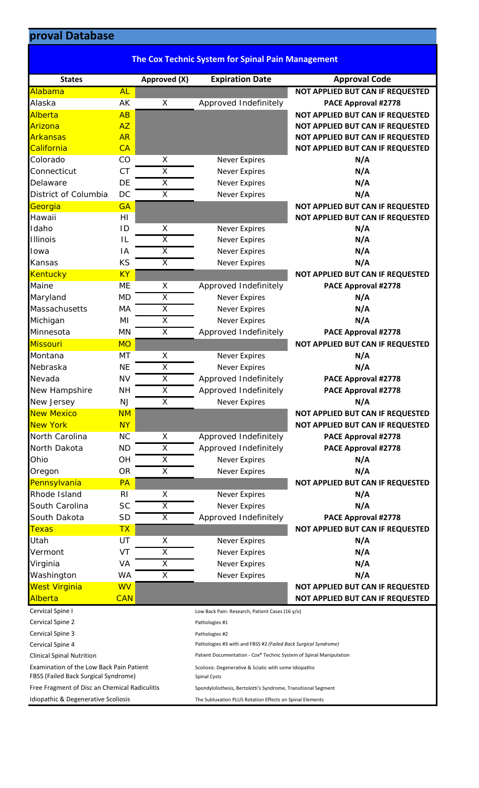## **pproval Database**

| proval Database      |                |                         |                                                          |                                  |
|----------------------|----------------|-------------------------|----------------------------------------------------------|----------------------------------|
|                      |                |                         |                                                          |                                  |
|                      |                |                         | <b>The Cox Technic System for Spinal Pain Management</b> |                                  |
| <b>States</b>        |                | Approved (X)            | <b>Expiration Date</b>                                   | <b>Approval Code</b>             |
| Alabama              | <b>AL</b>      |                         |                                                          | NOT APPLIED BUT CAN IF REQUESTED |
| Alaska               | AK             | X                       | Approved Indefinitely                                    | PACE Approval #2778              |
| Alberta              | AB             |                         |                                                          | NOT APPLIED BUT CAN IF REQUESTED |
| Arizona              | AZ             |                         |                                                          | NOT APPLIED BUT CAN IF REQUESTED |
| <b>Arkansas</b>      | <b>AR</b>      |                         |                                                          | NOT APPLIED BUT CAN IF REQUESTED |
| California           | CA             |                         |                                                          | NOT APPLIED BUT CAN IF REQUESTED |
| Colorado             | CO             | X                       | <b>Never Expires</b>                                     | N/A                              |
| Connecticut          | <b>CT</b>      | X                       | <b>Never Expires</b>                                     | N/A                              |
| Delaware             | DE             | $\overline{\mathsf{x}}$ | <b>Never Expires</b>                                     | N/A                              |
| District of Columbia | DC             | X                       | <b>Never Expires</b>                                     | N/A                              |
| Georgia              | <b>GA</b>      |                         |                                                          | NOT APPLIED BUT CAN IF REQUESTED |
| Hawaii               | H1             |                         |                                                          | NOT APPLIED BUT CAN IF REQUESTED |
| Idaho                | ID             | X                       | <b>Never Expires</b>                                     | N/A                              |
| <b>Illinois</b>      | IL             | $\overline{\mathsf{x}}$ | <b>Never Expires</b>                                     | N/A                              |
| Iowa                 | IA             | $\overline{\mathsf{x}}$ | <b>Never Expires</b>                                     | N/A                              |
| Kansas               | <b>KS</b>      | $\overline{X}$          | <b>Never Expires</b>                                     | N/A                              |
| <b>Kentucky</b>      | <b>KY</b>      |                         |                                                          | NOT APPLIED BUT CAN IF REQUESTED |
| Maine                | <b>ME</b>      | X                       | Approved Indefinitely                                    | PACE Approval #2778              |
| Maryland             | <b>MD</b>      | X                       | <b>Never Expires</b>                                     | N/A                              |
| Massachusetts        | MA             | $\overline{\mathsf{x}}$ | <b>Never Expires</b>                                     | N/A                              |
| Michigan             | MI             | $\overline{\mathsf{x}}$ | <b>Never Expires</b>                                     | N/A                              |
| Minnesota            | <b>MN</b>      | X                       | Approved Indefinitely                                    | PACE Approval #2778              |
| <b>Missouri</b>      | <b>MO</b>      |                         |                                                          | NOT APPLIED BUT CAN IF REQUESTED |
| Montana              | MT             | X                       | <b>Never Expires</b>                                     | N/A                              |
| Nebraska             | <b>NE</b>      | $\overline{\mathsf{x}}$ | <b>Never Expires</b>                                     | N/A                              |
| Nevada               | <b>NV</b>      | $\overline{\mathsf{x}}$ | Approved Indefinitely                                    | PACE Approval #2778              |
| New Hampshire        | <b>NH</b>      | X                       | Approved Indefinitely                                    | PACE Approval #2778              |
| New Jersey           | <b>NJ</b>      | X                       | <b>Never Expires</b>                                     | N/A                              |
| <b>New Mexico</b>    | <b>NM</b>      |                         |                                                          | NOT APPLIED BUT CAN IF REQUESTED |
| <b>New York</b>      | <b>NY</b>      |                         |                                                          | NOT APPLIED BUT CAN IF REQUESTED |
| North Carolina       | <b>NC</b>      | X                       | Approved Indefinitely                                    | PACE Approval #2778              |
| North Dakota         | <b>ND</b>      | X                       | Approved Indefinitely                                    | PACE Approval #2778              |
| Ohio                 | OH             | X                       | <b>Never Expires</b>                                     | N/A                              |
| Oregon               | <b>OR</b>      | X                       | <b>Never Expires</b>                                     | N/A                              |
| Pennsylvania         | PA             |                         |                                                          | NOT APPLIED BUT CAN IF REQUESTED |
| Rhode Island         | R <sub>l</sub> | X                       | <b>Never Expires</b>                                     | N/A                              |
| South Carolina       | <b>SC</b>      | $\overline{\mathsf{x}}$ | <b>Never Expires</b>                                     | N/A                              |
| South Dakota         | <b>SD</b>      | X                       | Approved Indefinitely                                    | PACE Approval #2778              |
| <b>Texas</b>         | <b>TX</b>      |                         |                                                          | NOT APPLIED BUT CAN IF REQUESTED |
| Utah                 | UT             | X                       | <b>Never Expires</b>                                     | N/A                              |
| Vermont              | VT             | X                       | <b>Never Expires</b>                                     | N/A                              |
| Virginia             | VA             | $\overline{\mathsf{X}}$ | <b>Never Expires</b>                                     | N/A                              |
| Washington           | <b>WA</b>      | $\overline{\mathsf{x}}$ | <b>Never Expires</b>                                     | N/A                              |
| <b>West Virginia</b> | <b>WV</b>      |                         |                                                          | NOT APPLIED BUT CAN IF REQUESTED |
| Alberta              | <b>CAN</b>     |                         |                                                          | NOT APPLIED BUT CAN IF REQUESTED |

| Cervical Spine I                              | Low Back Pain: Research, Patient Cases (16 y/o)                    |
|-----------------------------------------------|--------------------------------------------------------------------|
| Cervical Spine 2                              | Pathologies #1                                                     |
| Cervical Spine 3                              | Pathologies #2                                                     |
| Cervical Spine 4                              | Pathologies #3 with and FBSS #2 (Failed Back Surgical Syndrome)    |
| <b>Clinical Spinal Nutrition</b>              | Patient Documentation - Cox® Technic System of Spinal Manipulation |
| Examination of the Low Back Pain Patient      | Scoliosis: Degenerative & Sciatic with some Idiopathic             |
| FBSS (Failed Back Surgical Syndrome)          | <b>Spinal Cysts</b>                                                |
| Free Fragment of Disc an Chemical Radiculitis | Spondylolisthesis, Bertolotti's Syndrome, Transitional Segment     |
| Idiopathic & Degenerative Scoliosis           | The Subluxation PLUS Rotation Effects on Spinal Elements           |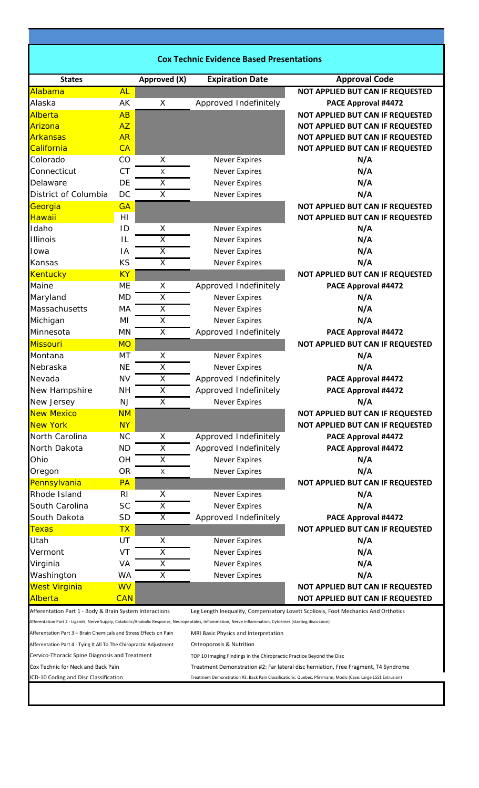| <b>Cox Technic Evidence Based Presentations</b>                    |            |                         |                                                                                                                                                             |                                                                                                              |
|--------------------------------------------------------------------|------------|-------------------------|-------------------------------------------------------------------------------------------------------------------------------------------------------------|--------------------------------------------------------------------------------------------------------------|
| <b>States</b>                                                      |            | Approved (X)            | <b>Expiration Date</b>                                                                                                                                      | <b>Approval Code</b>                                                                                         |
| Alabama                                                            | <b>AL</b>  |                         |                                                                                                                                                             | <b>NOT APPLIED BUT CAN IF REQUESTED</b>                                                                      |
| Alaska                                                             | AK         | X                       | Approved Indefinitely                                                                                                                                       | PACE Approval #4472                                                                                          |
| Alberta                                                            | AB         |                         |                                                                                                                                                             | NOT APPLIED BUT CAN IF REQUESTED                                                                             |
| Arizona                                                            | AZ         |                         |                                                                                                                                                             | NOT APPLIED BUT CAN IF REQUESTED                                                                             |
| <b>Arkansas</b>                                                    | <b>AR</b>  |                         |                                                                                                                                                             | NOT APPLIED BUT CAN IF REQUESTED                                                                             |
| California                                                         | CA         |                         |                                                                                                                                                             | NOT APPLIED BUT CAN IF REQUESTED                                                                             |
| Colorado                                                           | CO         | Х                       | <b>Never Expires</b>                                                                                                                                        | N/A                                                                                                          |
| Connecticut                                                        | <b>CT</b>  | X                       | <b>Never Expires</b>                                                                                                                                        | N/A                                                                                                          |
| Delaware                                                           | DE         | $\overline{\mathsf{x}}$ | <b>Never Expires</b>                                                                                                                                        | N/A                                                                                                          |
| District of Columbia                                               | DC         | $\overline{\mathsf{x}}$ | <b>Never Expires</b>                                                                                                                                        | N/A                                                                                                          |
| Georgia                                                            | <b>GA</b>  |                         |                                                                                                                                                             | NOT APPLIED BUT CAN IF REQUESTED                                                                             |
| <b>Hawaii</b>                                                      | H1         |                         |                                                                                                                                                             | NOT APPLIED BUT CAN IF REQUESTED                                                                             |
| Idaho                                                              | ID         | X                       | <b>Never Expires</b>                                                                                                                                        | N/A                                                                                                          |
| <b>Illinois</b>                                                    | IL         | X                       | <b>Never Expires</b>                                                                                                                                        | N/A                                                                                                          |
| Iowa                                                               | IA         | $\overline{\mathsf{X}}$ | <b>Never Expires</b>                                                                                                                                        | N/A                                                                                                          |
| Kansas                                                             | KS         | X                       | <b>Never Expires</b>                                                                                                                                        | N/A                                                                                                          |
| <b>Kentucky</b>                                                    | <b>KY</b>  |                         |                                                                                                                                                             | NOT APPLIED BUT CAN IF REQUESTED                                                                             |
| Maine                                                              | ME         | X                       | Approved Indefinitely                                                                                                                                       | PACE Approval #4472                                                                                          |
| Maryland                                                           | <b>MD</b>  | X                       | <b>Never Expires</b>                                                                                                                                        | N/A                                                                                                          |
| Massachusetts                                                      | MA         | X                       |                                                                                                                                                             | N/A                                                                                                          |
|                                                                    |            | $\overline{\mathsf{x}}$ | <b>Never Expires</b>                                                                                                                                        |                                                                                                              |
| Michigan                                                           | ΜI         |                         | <b>Never Expires</b>                                                                                                                                        | N/A                                                                                                          |
| Minnesota                                                          | MN         | X                       | Approved Indefinitely                                                                                                                                       | PACE Approval #4472                                                                                          |
| <b>Missouri</b>                                                    | <b>MO</b>  |                         |                                                                                                                                                             | NOT APPLIED BUT CAN IF REQUESTED                                                                             |
| Montana                                                            | MT         | Χ                       | <b>Never Expires</b>                                                                                                                                        | N/A                                                                                                          |
| Nebraska                                                           | <b>NE</b>  | Χ                       | <b>Never Expires</b>                                                                                                                                        | N/A                                                                                                          |
| Nevada                                                             | <b>NV</b>  | Χ                       | Approved Indefinitely                                                                                                                                       | PACE Approval #4472                                                                                          |
| New Hampshire                                                      | <b>NH</b>  | $\overline{\mathsf{x}}$ | Approved Indefinitely                                                                                                                                       | <b>PACE Approval #4472</b>                                                                                   |
| New Jersey                                                         | <b>NJ</b>  | X                       | <b>Never Expires</b>                                                                                                                                        | N/A                                                                                                          |
| <b>New Mexico</b>                                                  | <b>NM</b>  |                         |                                                                                                                                                             | NOT APPLIED BUT CAN IF REQUESTED                                                                             |
| <b>New York</b>                                                    | <b>NY</b>  |                         |                                                                                                                                                             | NOT APPLIED BUT CAN IF REQUESTED                                                                             |
| North Carolina                                                     | <b>NC</b>  | X                       | Approved Indefinitely                                                                                                                                       | <b>PACE Approval #4472</b>                                                                                   |
| North Dakota                                                       | <b>ND</b>  | $\overline{\mathsf{X}}$ | Approved Indefinitely                                                                                                                                       | PACE Approval #4472                                                                                          |
| Ohio                                                               | OH         | X                       | <b>Never Expires</b>                                                                                                                                        | N/A                                                                                                          |
| Oregon                                                             | <b>OR</b>  | Χ                       | <b>Never Expires</b>                                                                                                                                        | N/A                                                                                                          |
| Pennsylvania                                                       | PA         |                         |                                                                                                                                                             | NOT APPLIED BUT CAN IF REQUESTED                                                                             |
| Rhode Island                                                       | <b>RI</b>  | X                       | <b>Never Expires</b>                                                                                                                                        | N/A                                                                                                          |
| South Carolina                                                     | <b>SC</b>  | X                       | <b>Never Expires</b>                                                                                                                                        | N/A                                                                                                          |
| South Dakota                                                       | <b>SD</b>  | X                       | Approved Indefinitely                                                                                                                                       | PACE Approval #4472                                                                                          |
| <u>Texas</u>                                                       | <b>TX</b>  |                         |                                                                                                                                                             | NOT APPLIED BUT CAN IF REQUESTED                                                                             |
| Utah                                                               | UT         | Х                       | <b>Never Expires</b>                                                                                                                                        | N/A                                                                                                          |
| Vermont                                                            | VT         | X                       | <b>Never Expires</b>                                                                                                                                        | N/A                                                                                                          |
| Virginia                                                           | VA         | X                       | <b>Never Expires</b>                                                                                                                                        | N/A                                                                                                          |
| Washington                                                         | WA         | X                       | <b>Never Expires</b>                                                                                                                                        | N/A                                                                                                          |
| <b>West Virginia</b>                                               | <b>WV</b>  |                         |                                                                                                                                                             | NOT APPLIED BUT CAN IF REQUESTED                                                                             |
| Alberta                                                            | <b>CAN</b> |                         |                                                                                                                                                             | NOT APPLIED BUT CAN IF REQUESTED                                                                             |
| Afferentation Part 1 - Body & Brain System Interactions            |            |                         |                                                                                                                                                             | Leg Length Inequality, Compensatory Lovett Scoliosis, Foot Mechanics And Orthotics                           |
|                                                                    |            |                         | Afferentation Part 2 - Ligands, Nerve Supply, Catabolic/Anabolic Response, Neuropeptides, Inflammation, Nerve Inflammation, Cytokines (starting discussion) |                                                                                                              |
| Afferentation Part 3 - Brain Chemicals and Stress Effects on Pain  |            |                         | MRI Basic Physics and Interpretation                                                                                                                        |                                                                                                              |
| Afferentation Part 4 - Tying It All To The Chiropractic Adjustment |            |                         | <b>Osteoporosis &amp; Nutrition</b>                                                                                                                         |                                                                                                              |
| Cervico-Thoracic Spine Diagnosis and Treatment                     |            |                         | TOP 10 Imaging Findings in the Chiropractic Practice Beyond the Disc                                                                                        |                                                                                                              |
| Cox Technic for Neck and Back Pain                                 |            |                         |                                                                                                                                                             | Treatment Demonstration #2: Far lateral disc herniation, Free Fragment, T4 Syndrome                          |
| ICD-10 Coding and Disc Classification                              |            |                         |                                                                                                                                                             | Treatment Demonstration #3: Back Pain Classifications: Quebec, Pfirrmann, Modic (Case: Large L5S1 Extrusion) |
|                                                                    |            |                         |                                                                                                                                                             |                                                                                                              |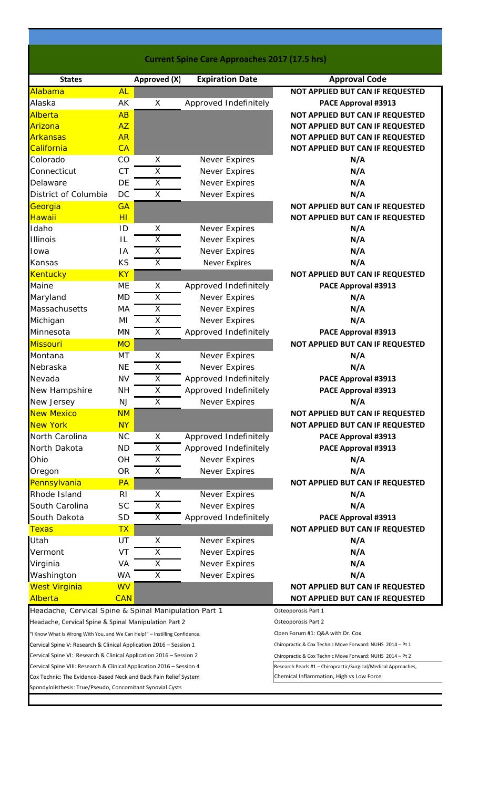|                                                                            |                |                         |                        | <b>Current Spine Care Approaches 2017 (17.5 hrs)</b>           |
|----------------------------------------------------------------------------|----------------|-------------------------|------------------------|----------------------------------------------------------------|
| <b>States</b>                                                              |                | Approved (X)            | <b>Expiration Date</b> | <b>Approval Code</b>                                           |
| Alabama                                                                    | <b>AL</b>      |                         |                        | NOT APPLIED BUT CAN IF REQUESTED                               |
| Alaska                                                                     | AK             | X                       | Approved Indefinitely  | PACE Approval #3913                                            |
| Alberta                                                                    | AB             |                         |                        | NOT APPLIED BUT CAN IF REQUESTED                               |
| Arizona                                                                    | <b>AZ</b>      |                         |                        | NOT APPLIED BUT CAN IF REQUESTED                               |
| <b>Arkansas</b>                                                            | <b>AR</b>      |                         |                        | NOT APPLIED BUT CAN IF REQUESTED                               |
| California                                                                 | CA             |                         |                        | NOT APPLIED BUT CAN IF REQUESTED                               |
| Colorado                                                                   | CO             | X                       | Never Expires          | N/A                                                            |
| Connecticut                                                                | <b>CT</b>      | $\overline{\mathsf{X}}$ | Never Expires          | N/A                                                            |
| Delaware                                                                   | DE             | X                       | Never Expires          | N/A                                                            |
| District of Columbia                                                       | DC             | X                       | Never Expires          | N/A                                                            |
| Georgia                                                                    | <b>GA</b>      |                         |                        | NOT APPLIED BUT CAN IF REQUESTED                               |
| Hawaii                                                                     | H <sub>l</sub> |                         |                        | NOT APPLIED BUT CAN IF REQUESTED                               |
| Idaho                                                                      | ID             | X                       | Never Expires          | N/A                                                            |
| <b>Illinois</b>                                                            | IL             | X                       | Never Expires          | N/A                                                            |
| Iowa                                                                       | IA             | $\overline{\mathsf{X}}$ | Never Expires          | N/A                                                            |
| Kansas                                                                     | KS             | X                       | <b>Never Expires</b>   | N/A                                                            |
| <b>Kentucky</b>                                                            | <b>KY</b>      |                         |                        | NOT APPLIED BUT CAN IF REQUESTED                               |
| Maine                                                                      | <b>ME</b>      | X                       | Approved Indefinitely  | PACE Approval #3913                                            |
| Maryland                                                                   | <b>MD</b>      | X                       | Never Expires          | N/A                                                            |
| Massachusetts                                                              | МA             | $\overline{\mathsf{x}}$ | Never Expires          | N/A                                                            |
| Michigan                                                                   | MI             | Χ                       | Never Expires          | N/A                                                            |
| Minnesota                                                                  | MN             | $\overline{X}$          | Approved Indefinitely  | PACE Approval #3913                                            |
| <b>Missouri</b>                                                            | <b>MO</b>      |                         |                        | NOT APPLIED BUT CAN IF REQUESTED                               |
| Montana                                                                    | MT             | X                       | Never Expires          | N/A                                                            |
| Nebraska                                                                   | <b>NE</b>      | Χ                       | Never Expires          | N/A                                                            |
| Nevada                                                                     | <b>NV</b>      | $\overline{\mathsf{x}}$ | Approved Indefinitely  | PACE Approval #3913                                            |
| New Hampshire                                                              | <b>NH</b>      | $\overline{\mathsf{x}}$ | Approved Indefinitely  | PACE Approval #3913                                            |
| New Jersey                                                                 | NJ             | $\overline{\mathsf{x}}$ | Never Expires          | N/A                                                            |
| <b>New Mexico</b>                                                          | <b>NM</b>      |                         |                        | NOT APPLIED BUT CAN IF REQUESTED                               |
| <b>New York</b>                                                            | <b>NY</b>      |                         |                        | NOT APPLIED BUT CAN IF REQUESTED                               |
|                                                                            |                |                         |                        |                                                                |
| North Carolina                                                             | <b>NC</b>      | X                       | Approved Indefinitely  | PACE Approval #3913                                            |
| North Dakota                                                               | <b>ND</b>      | X                       | Approved Indefinitely  | PACE Approval #3913                                            |
| Ohio                                                                       | <b>OH</b>      | X                       | Never Expires          | N/A                                                            |
| Oregon                                                                     | <b>OR</b>      | X                       | <b>Never Expires</b>   | N/A                                                            |
| Pennsylvania                                                               | PA             |                         |                        | <b>NOT APPLIED BUT CAN IF REQUESTED</b>                        |
| Rhode Island                                                               | R <sub>l</sub> | X                       | <b>Never Expires</b>   | N/A                                                            |
| South Carolina                                                             | <b>SC</b>      | $\overline{\mathsf{x}}$ | Never Expires          | N/A                                                            |
| South Dakota                                                               | <b>SD</b>      | X                       | Approved Indefinitely  | PACE Approval #3913                                            |
| <b>Texas</b>                                                               | <b>TX</b>      |                         |                        | NOT APPLIED BUT CAN IF REQUESTED                               |
| Utah                                                                       | UT             | X                       | <b>Never Expires</b>   | N/A                                                            |
| Vermont                                                                    | VT             | $\overline{\mathsf{x}}$ | <b>Never Expires</b>   | N/A                                                            |
| Virginia                                                                   | VA             | X                       | <b>Never Expires</b>   | N/A                                                            |
| Washington                                                                 | <b>WA</b>      | $\overline{\mathsf{x}}$ | Never Expires          | N/A                                                            |
| <b>West Virginia</b>                                                       | <b>WV</b>      |                         |                        | <b>NOT APPLIED BUT CAN IF REQUESTED</b>                        |
| Alberta                                                                    | <b>CAN</b>     |                         |                        | NOT APPLIED BUT CAN IF REQUESTED                               |
| Headache, Cervical Spine & Spinal Manipulation Part 1                      |                |                         |                        | Osteoporosis Part 1                                            |
| Headache, Cervical Spine & Spinal Manipulation Part 2                      |                |                         |                        | Osteoporosis Part 2                                            |
| "I Know What Is Wrong With You, and We Can Help!" - Instilling Confidence. |                |                         |                        | Open Forum #1: Q&A with Dr. Cox                                |
| Cervical Spine V: Research & Clinical Application 2016 – Session 1         |                |                         |                        | Chiropractic & Cox Technic Move Forward: NUHS 2014 - Pt 1      |
| Cervical Spine VI: Research & Clinical Application 2016 - Session 2        |                |                         |                        | Chiropractic & Cox Technic Move Forward: NUHS 2014 - Pt 2      |
| Cervical Spine VIII: Research & Clinical Application 2016 – Session 4      |                |                         |                        | Research Pearls #1 - Chiropractic/Surgical/Medical Approaches, |
| Cox Technic: The Evidence-Based Neck and Back Pain Relief System           |                |                         |                        | Chemical Inflammation, High vs Low Force                       |
| Spondylolisthesis: True/Pseudo, Concomitant Synovial Cysts                 |                |                         |                        |                                                                |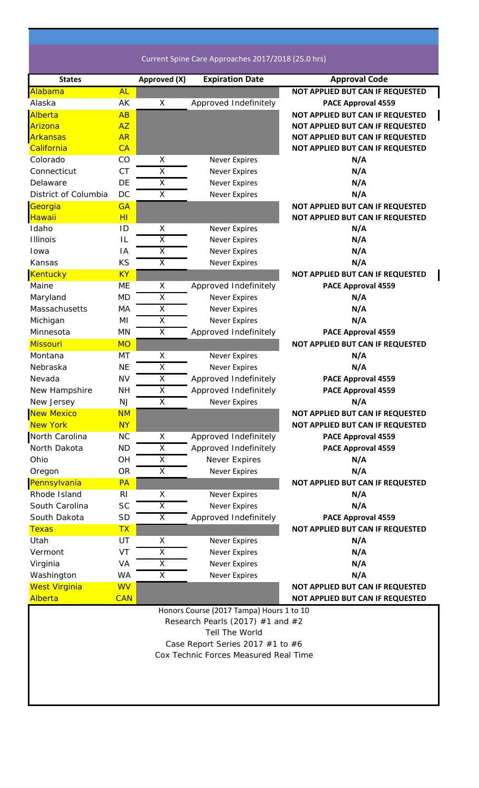Current Spine Care Approaches 2017/2018 (25.0 hrs)

| <b>States</b>        |                | Approved (X)            | <b>Expiration Date</b>                   | <b>Approval Code</b>             |
|----------------------|----------------|-------------------------|------------------------------------------|----------------------------------|
| Alabama              | <b>AL</b>      |                         |                                          | NOT APPLIED BUT CAN IF REQUESTED |
| Alaska               | AK             | X                       | Approved Indefinitely                    | <b>PACE Approval 4559</b>        |
| Alberta              | AB             |                         |                                          | NOT APPLIED BUT CAN IF REQUESTED |
| Arizona              | <b>AZ</b>      |                         |                                          | NOT APPLIED BUT CAN IF REQUESTED |
| <b>Arkansas</b>      | <b>AR</b>      |                         |                                          | NOT APPLIED BUT CAN IF REQUESTED |
| California           | CA             |                         |                                          | NOT APPLIED BUT CAN IF REQUESTED |
| Colorado             | CO             | Χ                       | <b>Never Expires</b>                     | N/A                              |
| Connecticut          | <b>CT</b>      | $\overline{X}$          | <b>Never Expires</b>                     | N/A                              |
| Delaware             | DE             | $\overline{\mathsf{x}}$ | <b>Never Expires</b>                     | N/A                              |
| District of Columbia | DC             | X                       | <b>Never Expires</b>                     | N/A                              |
| Georgia              | <b>GA</b>      |                         |                                          | NOT APPLIED BUT CAN IF REQUESTED |
| <mark>Hawaii</mark>  | H <sub>1</sub> |                         |                                          | NOT APPLIED BUT CAN IF REQUESTED |
| Idaho                | ID             | X                       | <b>Never Expires</b>                     | N/A                              |
| <b>Illinois</b>      | IL             | X                       | <b>Never Expires</b>                     | N/A                              |
| Iowa                 | ΙA             | $\overline{\mathsf{x}}$ | <b>Never Expires</b>                     | N/A                              |
| Kansas               | KS             | X                       | <b>Never Expires</b>                     | N/A                              |
| Kentucky             | <b>KY</b>      |                         |                                          | NOT APPLIED BUT CAN IF REQUESTED |
| Maine                | <b>ME</b>      | Χ                       | Approved Indefinitely                    | <b>PACE Approval 4559</b>        |
| Maryland             | <b>MD</b>      | Χ                       | <b>Never Expires</b>                     | N/A                              |
| Massachusetts        | MA             | $\overline{X}$          | <b>Never Expires</b>                     | N/A                              |
| Michigan             | ΜI             | $\overline{X}$          | <b>Never Expires</b>                     | N/A                              |
| Minnesota            | MN             | $\overline{X}$          | Approved Indefinitely                    | <b>PACE Approval 4559</b>        |
| <b>Missouri</b>      | <b>MO</b>      |                         |                                          | NOT APPLIED BUT CAN IF REQUESTED |
| Montana              | MT             | X                       | <b>Never Expires</b>                     | N/A                              |
| Nebraska             | <b>NE</b>      | X                       | <b>Never Expires</b>                     | N/A                              |
| Nevada               | <b>NV</b>      | $\overline{\mathsf{x}}$ | Approved Indefinitely                    | <b>PACE Approval 4559</b>        |
| New Hampshire        | <b>NH</b>      | $\overline{X}$          | Approved Indefinitely                    | <b>PACE Approval 4559</b>        |
| New Jersey           | <b>NJ</b>      | X                       | <b>Never Expires</b>                     | N/A                              |
| <b>New Mexico</b>    | <b>NM</b>      |                         |                                          | NOT APPLIED BUT CAN IF REQUESTED |
| <b>New York</b>      | <b>NY</b>      |                         |                                          | NOT APPLIED BUT CAN IF REQUESTED |
| North Carolina       | <b>NC</b>      | X                       | Approved Indefinitely                    | <b>PACE Approval 4559</b>        |
| North Dakota         | <b>ND</b>      | Χ                       | Approved Indefinitely                    | <b>PACE Approval 4559</b>        |
| Ohio                 | OH             | X                       | Never Expires                            | N/A                              |
| Oregon               | <b>OR</b>      | $\overline{\mathsf{x}}$ | <b>Never Expires</b>                     | N/A                              |
| Pennsylvania         | PA             |                         |                                          | NOT APPLIED BUT CAN IF REQUESTED |
| Rhode Island         | R <sub>l</sub> | Χ                       | <b>Never Expires</b>                     | N/A                              |
| South Carolina       | <b>SC</b>      | $\overline{\mathsf{x}}$ | <b>Never Expires</b>                     | N/A                              |
| South Dakota         | <b>SD</b>      | X                       | Approved Indefinitely                    | <b>PACE Approval 4559</b>        |
| <b>Texas</b>         | <b>TX</b>      |                         |                                          | NOT APPLIED BUT CAN IF REQUESTED |
| Utah                 | UT             | X                       | <b>Never Expires</b>                     | N/A                              |
| Vermont              | VT             | X                       | <b>Never Expires</b>                     | N/A                              |
| Virginia             | VA             | X                       | <b>Never Expires</b>                     | N/A                              |
| Washington           | WA             | X                       | <b>Never Expires</b>                     | N/A                              |
| <b>West Virginia</b> | <b>WV</b>      |                         |                                          | NOT APPLIED BUT CAN IF REQUESTED |
| Alberta              | <b>CAN</b>     |                         |                                          | NOT APPLIED BUT CAN IF REQUESTED |
|                      |                |                         | Honors Course (2017 Tampa) Hours 1 to 10 |                                  |
|                      |                |                         | Research Pearls (2017) $#1$ and $#2$     |                                  |
|                      |                |                         | Tell The World                           |                                  |
|                      |                |                         | Case Report Series 2017 $#1$ to $#6$     |                                  |
|                      |                |                         | Cox Technic Forces Measured Real Time    |                                  |
|                      |                |                         |                                          |                                  |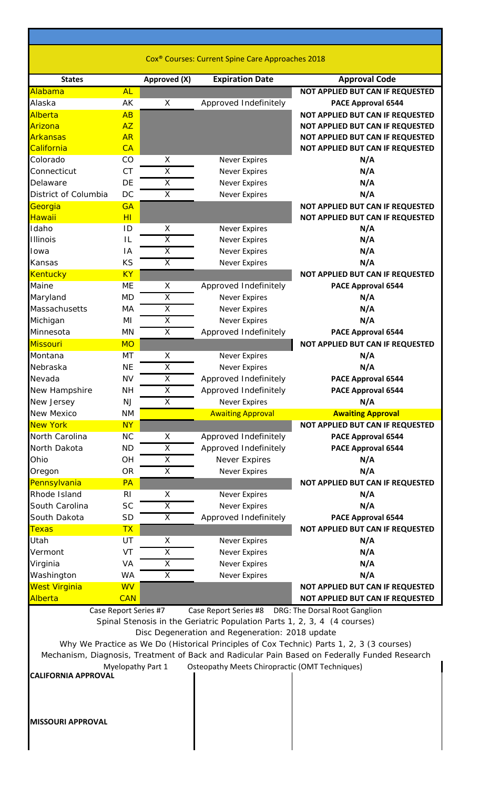| Cox <sup>®</sup> Courses: Current Spine Care Approaches 2018 |  |
|--------------------------------------------------------------|--|
|--------------------------------------------------------------|--|

| <b>States</b>              |                      | Approved (X)            | <b>Expiration Date</b>                                                   | <b>Approval Code</b>                                                                          |
|----------------------------|----------------------|-------------------------|--------------------------------------------------------------------------|-----------------------------------------------------------------------------------------------|
| Alabama                    | <b>AL</b>            |                         |                                                                          | NOT APPLIED BUT CAN IF REQUESTED                                                              |
| Alaska                     | AK                   | X                       | Approved Indefinitely                                                    | PACE Approval 6544                                                                            |
| Alberta                    | AB                   |                         |                                                                          | NOT APPLIED BUT CAN IF REQUESTED                                                              |
| Arizona                    | <b>AZ</b>            |                         |                                                                          | NOT APPLIED BUT CAN IF REQUESTED                                                              |
| <b>Arkansas</b>            | <b>AR</b>            |                         |                                                                          | NOT APPLIED BUT CAN IF REQUESTED                                                              |
| California                 | CA                   |                         |                                                                          | NOT APPLIED BUT CAN IF REQUESTED                                                              |
| Colorado                   | CO                   | X                       | <b>Never Expires</b>                                                     | N/A                                                                                           |
| Connecticut                | <b>CT</b>            | X                       | <b>Never Expires</b>                                                     | N/A                                                                                           |
| Delaware                   | DE                   | $\overline{\mathsf{X}}$ | <b>Never Expires</b>                                                     | N/A                                                                                           |
| District of Columbia       | DC                   | X                       | <b>Never Expires</b>                                                     | N/A                                                                                           |
| Georgia                    | <b>GA</b>            |                         |                                                                          | NOT APPLIED BUT CAN IF REQUESTED                                                              |
| Hawaii<br>Idaho            | H <sub>l</sub><br>ID | X                       | <b>Never Expires</b>                                                     | NOT APPLIED BUT CAN IF REQUESTED<br>N/A                                                       |
| <b>Illinois</b>            | IL                   | $\overline{\mathsf{x}}$ | <b>Never Expires</b>                                                     | N/A                                                                                           |
| Iowa                       | IA                   | X                       | <b>Never Expires</b>                                                     | N/A                                                                                           |
| Kansas                     | KS                   | X                       | <b>Never Expires</b>                                                     | N/A                                                                                           |
| <b>Kentucky</b>            | <b>KY</b>            |                         |                                                                          | NOT APPLIED BUT CAN IF REQUESTED                                                              |
| Maine                      | <b>ME</b>            | X                       | Approved Indefinitely                                                    | PACE Approval 6544                                                                            |
| Maryland                   | <b>MD</b>            | $\overline{X}$          | <b>Never Expires</b>                                                     | N/A                                                                                           |
| Massachusetts              | MA                   | $\overline{\mathsf{X}}$ | <b>Never Expires</b>                                                     | N/A                                                                                           |
| Michigan                   | MI                   | $\overline{\mathsf{X}}$ | <b>Never Expires</b>                                                     | N/A                                                                                           |
| Minnesota                  | MN                   | X                       | Approved Indefinitely                                                    | PACE Approval 6544                                                                            |
| <b>Missouri</b>            | <b>MO</b>            |                         |                                                                          | NOT APPLIED BUT CAN IF REQUESTED                                                              |
| Montana                    | MT                   | X                       | <b>Never Expires</b>                                                     | N/A                                                                                           |
| Nebraska                   | <b>NE</b>            | X                       | <b>Never Expires</b>                                                     | N/A                                                                                           |
| Nevada                     | <b>NV</b>            | X                       | Approved Indefinitely                                                    | PACE Approval 6544                                                                            |
| New Hampshire              | <b>NH</b>            | $\overline{\mathsf{x}}$ | Approved Indefinitely                                                    | PACE Approval 6544                                                                            |
| New Jersey                 | <b>NJ</b>            | X                       | <b>Never Expires</b>                                                     | N/A                                                                                           |
| New Mexico                 | <b>NM</b>            |                         | <b>Awaiting Approval</b>                                                 | <b>Awaiting Approval</b>                                                                      |
| <b>New York</b>            | <b>NY</b>            |                         |                                                                          | NOT APPLIED BUT CAN IF REQUESTED                                                              |
| North Carolina             | NC                   | X                       | Approved Indefinitely                                                    | PACE Approval 6544                                                                            |
| North Dakota               | <b>ND</b>            | X                       | Approved Indefinitely                                                    | PACE Approval 6544                                                                            |
| Ohio                       | OH                   | X                       | Never Expires                                                            | N/A                                                                                           |
| Oregon                     | <b>OR</b>            | X                       | <b>Never Expires</b>                                                     | N/A                                                                                           |
| Pennsylvania               | PA                   |                         |                                                                          | NOT APPLIED BUT CAN IF REQUESTED                                                              |
| Rhode Island               | R <sub>l</sub>       | X                       | <b>Never Expires</b>                                                     | N/A                                                                                           |
| South Carolina             | <b>SC</b>            | $\overline{\mathsf{x}}$ | <b>Never Expires</b>                                                     | N/A                                                                                           |
| South Dakota               | SD                   | X                       | Approved Indefinitely                                                    | PACE Approval 6544                                                                            |
| <b>Texas</b>               | <b>TX</b>            |                         |                                                                          | NOT APPLIED BUT CAN IF REQUESTED                                                              |
| Utah                       | UT                   | X                       | <b>Never Expires</b>                                                     | N/A                                                                                           |
| Vermont                    | VT                   | X                       | Never Expires                                                            | N/A                                                                                           |
| Virginia<br>Washington     | VA<br><b>WA</b>      | Χ<br>$\overline{X}$     | <b>Never Expires</b><br><b>Never Expires</b>                             | N/A<br>N/A                                                                                    |
| <b>West Virginia</b>       | <b>WV</b>            |                         |                                                                          | NOT APPLIED BUT CAN IF REQUESTED                                                              |
| Alberta                    | <b>CAN</b>           |                         |                                                                          | NOT APPLIED BUT CAN IF REQUESTED                                                              |
|                            |                      | Case Report Series #7   | Case Report Series #8                                                    | DRG: The Dorsal Root Ganglion                                                                 |
|                            |                      |                         | Spinal Stenosis in the Geriatric Population Parts 1, 2, 3, 4 (4 courses) |                                                                                               |
|                            |                      |                         | Disc Degeneration and Regeneration: 2018 update                          |                                                                                               |
|                            |                      |                         |                                                                          | Why We Practice as We Do (Historical Principles of Cox Technic) Parts 1, 2, 3 (3 courses)     |
|                            |                      |                         |                                                                          | Mechanism, Diagnosis, Treatment of Back and Radicular Pain Based on Federally Funded Research |
|                            |                      | Myelopathy Part 1       | Osteopathy Meets Chiropractic (OMT Techniques)                           |                                                                                               |
| <b>CALIFORNIA APPROVAL</b> |                      |                         |                                                                          |                                                                                               |
|                            |                      |                         |                                                                          |                                                                                               |
|                            |                      |                         |                                                                          |                                                                                               |
|                            |                      |                         |                                                                          |                                                                                               |
| <b>MISSOURI APPROVAL</b>   |                      |                         |                                                                          |                                                                                               |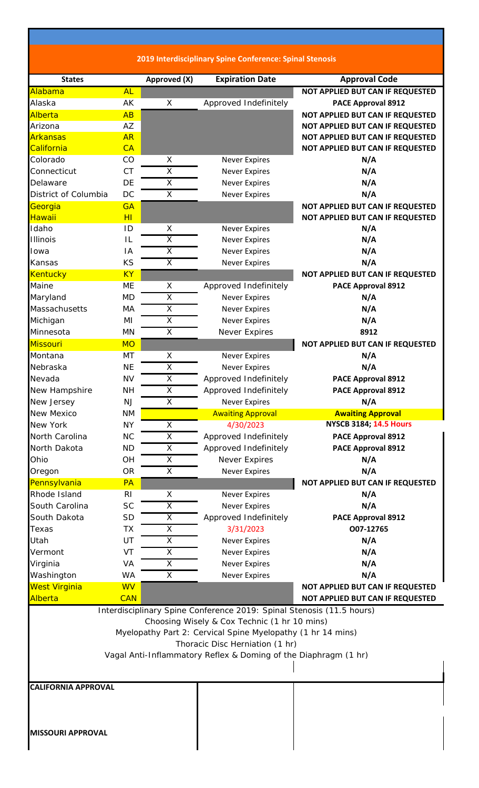**2019 Interdisciplinary Spine Conference: Spinal Stenosis**

| <b>States</b>              |                | Approved (X)            | <b>Expiration Date</b>                                                | <b>Approval Code</b>                    |
|----------------------------|----------------|-------------------------|-----------------------------------------------------------------------|-----------------------------------------|
| Alabama                    | <b>AL</b>      |                         |                                                                       | <b>NOT APPLIED BUT CAN IF REQUESTED</b> |
| Alaska                     | AK             | X                       | Approved Indefinitely                                                 | PACE Approval 8912                      |
| Alberta                    | AB             |                         |                                                                       | NOT APPLIED BUT CAN IF REQUESTED        |
| Arizona                    | AZ             |                         |                                                                       | NOT APPLIED BUT CAN IF REQUESTED        |
| <b>Arkansas</b>            | <b>AR</b>      |                         |                                                                       | NOT APPLIED BUT CAN IF REQUESTED        |
| California                 | CA             |                         |                                                                       | NOT APPLIED BUT CAN IF REQUESTED        |
| Colorado                   | CO             | Χ                       | <b>Never Expires</b>                                                  | N/A                                     |
| Connecticut                | <b>CT</b>      | $\overline{\mathsf{x}}$ | <b>Never Expires</b>                                                  | N/A                                     |
| Delaware                   | DE             | $\overline{X}$          | <b>Never Expires</b>                                                  | N/A                                     |
| District of Columbia       | DC             | X                       | <b>Never Expires</b>                                                  | N/A                                     |
| Georgia                    | <b>GA</b>      |                         |                                                                       | NOT APPLIED BUT CAN IF REQUESTED        |
| <b>Hawaii</b>              | HI             |                         |                                                                       | NOT APPLIED BUT CAN IF REQUESTED        |
| Idaho                      | ID             | X                       | <b>Never Expires</b>                                                  | N/A                                     |
| <b>Illinois</b>            | IL             | Χ                       | <b>Never Expires</b>                                                  | N/A                                     |
| Iowa                       | IA             | $\overline{\mathsf{x}}$ | <b>Never Expires</b>                                                  | N/A                                     |
| Kansas                     | KS             | X                       | <b>Never Expires</b>                                                  | N/A                                     |
| Kentucky                   | <b>KY</b>      |                         |                                                                       | NOT APPLIED BUT CAN IF REQUESTED        |
| Maine                      | <b>ME</b>      | X                       | Approved Indefinitely                                                 | <b>PACE Approval 8912</b>               |
| Maryland                   | <b>MD</b>      | X                       | <b>Never Expires</b>                                                  | N/A                                     |
| Massachusetts              | MA             | $\overline{\mathsf{x}}$ | <b>Never Expires</b>                                                  | N/A                                     |
| Michigan                   | ΜI             | $\overline{\mathsf{x}}$ | <b>Never Expires</b>                                                  | N/A                                     |
| Minnesota                  | MN             | $\overline{\mathsf{x}}$ | Never Expires                                                         | 8912                                    |
| <b>Missouri</b>            | <b>MO</b>      |                         |                                                                       | NOT APPLIED BUT CAN IF REQUESTED        |
| Montana                    | MT             | X                       | <b>Never Expires</b>                                                  | N/A                                     |
| Nebraska                   | <b>NE</b>      | X                       | <b>Never Expires</b>                                                  | N/A                                     |
| Nevada                     | <b>NV</b>      | $\overline{\mathsf{x}}$ | Approved Indefinitely                                                 | <b>PACE Approval 8912</b>               |
| New Hampshire              | <b>NH</b>      | Χ                       | Approved Indefinitely                                                 | <b>PACE Approval 8912</b>               |
| New Jersey                 | <b>NJ</b>      | $\overline{X}$          | <b>Never Expires</b>                                                  | N/A                                     |
| New Mexico                 | <b>NM</b>      |                         | <b>Awaiting Approval</b>                                              | <b>Awaiting Approval</b>                |
| New York                   | <b>NY</b>      | X                       | 4/30/2023                                                             | <b>NYSCB 3184; 14.5 Hours</b>           |
| North Carolina             | <b>NC</b>      | Χ                       | Approved Indefinitely                                                 | PACE Approval 8912                      |
| North Dakota               | <b>ND</b>      | $\overline{X}$          | Approved Indefinitely                                                 | <b>PACE Approval 8912</b>               |
| Ohio                       | OH             | X                       | Never Expires                                                         | N/A                                     |
| Oregon                     | <b>OR</b>      | $\overline{\mathsf{x}}$ | <b>Never Expires</b>                                                  | N/A                                     |
| Pennsylvania               | PA             |                         |                                                                       | NOT APPLIED BUT CAN IF REQUESTED        |
| Rhode Island               | R <sub>l</sub> | X                       | <b>Never Expires</b>                                                  | N/A                                     |
| South Carolina             | <b>SC</b>      | $\overline{X}$          | <b>Never Expires</b>                                                  | N/A                                     |
| South Dakota               | <b>SD</b>      | X                       | Approved Indefinitely                                                 | PACE Approval 8912                      |
| Texas                      | <b>TX</b>      | Χ                       | 3/31/2023                                                             | O07-12765                               |
| Utah                       | UT             | X                       | <b>Never Expires</b>                                                  | N/A                                     |
| Vermont                    | VT             | X                       | <b>Never Expires</b>                                                  | N/A                                     |
| Virginia                   | VA             | X                       | <b>Never Expires</b>                                                  | N/A                                     |
| Washington                 | <b>WA</b>      | $\overline{\mathsf{x}}$ | <b>Never Expires</b>                                                  | N/A                                     |
| <b>West Virginia</b>       | <b>WV</b>      |                         |                                                                       | NOT APPLIED BUT CAN IF REQUESTED        |
| Alberta                    | <b>CAN</b>     |                         |                                                                       | NOT APPLIED BUT CAN IF REQUESTED        |
|                            |                |                         |                                                                       |                                         |
|                            |                |                         | Interdisciplinary Spine Conference 2019: Spinal Stenosis (11.5 hours) |                                         |
|                            |                |                         | Choosing Wisely & Cox Technic (1 hr 10 mins)                          |                                         |
|                            |                |                         | Myelopathy Part 2: Cervical Spine Myelopathy (1 hr 14 mins)           |                                         |
|                            |                |                         | Thoracic Disc Herniation (1 hr)                                       |                                         |
|                            |                |                         | Vagal Anti-Inflammatory Reflex & Doming of the Diaphragm (1 hr)       |                                         |
|                            |                |                         |                                                                       |                                         |
| <b>CALIFORNIA APPROVAL</b> |                |                         |                                                                       |                                         |
|                            |                |                         |                                                                       |                                         |
|                            |                |                         |                                                                       |                                         |
|                            |                |                         |                                                                       |                                         |
| <b>MISSOURI APPROVAL</b>   |                |                         |                                                                       |                                         |
|                            |                |                         |                                                                       |                                         |
|                            |                |                         |                                                                       |                                         |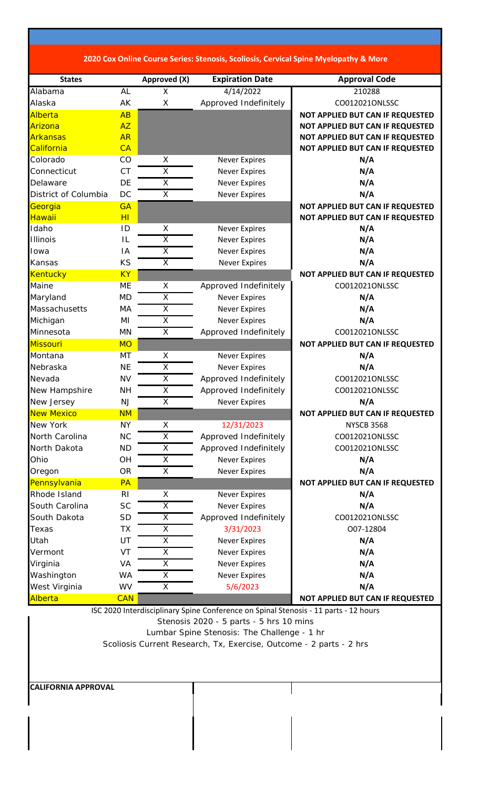| 2020 Cox Online Course Series: Stenosis, Scoliosis, Cervical Spine Myelopathy & More |  |
|--------------------------------------------------------------------------------------|--|
|--------------------------------------------------------------------------------------|--|

| <b>States</b>        |                | Approved (X)            | <b>Expiration Date</b>                                                               | <b>Approval Code</b>             |
|----------------------|----------------|-------------------------|--------------------------------------------------------------------------------------|----------------------------------|
| Alabama              | <b>AL</b>      | X                       | 4/14/2022                                                                            | 210288                           |
| Alaska               | AK             | X                       | Approved Indefinitely                                                                | CO012021ONLSSC                   |
| Alberta              | AB             |                         |                                                                                      | NOT APPLIED BUT CAN IF REQUESTED |
| Arizona              | <b>AZ</b>      |                         |                                                                                      | NOT APPLIED BUT CAN IF REQUESTED |
| <b>Arkansas</b>      | <b>AR</b>      |                         |                                                                                      | NOT APPLIED BUT CAN IF REQUESTED |
| California           | CA             |                         |                                                                                      | NOT APPLIED BUT CAN IF REQUESTED |
| Colorado             | CO             | X                       | <b>Never Expires</b>                                                                 | N/A                              |
| Connecticut          | <b>CT</b>      | $\overline{\mathsf{x}}$ | <b>Never Expires</b>                                                                 | N/A                              |
| Delaware             | DE             | X                       | <b>Never Expires</b>                                                                 | N/A                              |
| District of Columbia | <b>DC</b>      | X                       | <b>Never Expires</b>                                                                 | N/A                              |
| Georgia              | <b>GA</b>      |                         |                                                                                      | NOT APPLIED BUT CAN IF REQUESTED |
| Hawaii               | H <sub>I</sub> |                         |                                                                                      | NOT APPLIED BUT CAN IF REQUESTED |
| Idaho                | ID             | X                       | <b>Never Expires</b>                                                                 | N/A                              |
| <b>Illinois</b>      | IL             | $\overline{X}$          | <b>Never Expires</b>                                                                 | N/A                              |
| Iowa                 | IA             | $\overline{\mathsf{x}}$ | <b>Never Expires</b>                                                                 | N/A                              |
| Kansas               | KS             | X                       | <b>Never Expires</b>                                                                 | N/A                              |
| <b>Kentucky</b>      | <b>KY</b>      |                         |                                                                                      | NOT APPLIED BUT CAN IF REQUESTED |
| Maine                | <b>ME</b>      | Χ                       | Approved Indefinitely                                                                | CO012021ONLSSC                   |
| Maryland             | <b>MD</b>      | X                       | <b>Never Expires</b>                                                                 | N/A                              |
| Massachusetts        | MA             | X                       | <b>Never Expires</b>                                                                 | N/A                              |
| Michigan             | MI             | $\overline{\mathsf{x}}$ | <b>Never Expires</b>                                                                 | N/A                              |
| Minnesota            | MN             | X                       | Approved Indefinitely                                                                | CO012021ONLSSC                   |
| <b>Missouri</b>      | <b>MO</b>      |                         |                                                                                      | NOT APPLIED BUT CAN IF REQUESTED |
| Montana              | MT             | X                       | <b>Never Expires</b>                                                                 | N/A                              |
| Nebraska             | <b>NE</b>      | $\overline{\mathsf{x}}$ | <b>Never Expires</b>                                                                 | N/A                              |
| Nevada               | <b>NV</b>      | $\overline{\mathsf{x}}$ | Approved Indefinitely                                                                | CO012021ONLSSC                   |
| New Hampshire        | <b>NH</b>      | $\overline{\mathsf{X}}$ | Approved Indefinitely                                                                | CO012021ONLSSC                   |
| New Jersey           | <b>NJ</b>      | X                       | <b>Never Expires</b>                                                                 | N/A                              |
| <b>New Mexico</b>    | <b>NM</b>      |                         |                                                                                      | NOT APPLIED BUT CAN IF REQUESTED |
| New York             | <b>NY</b>      | X                       | 12/31/2023                                                                           | <b>NYSCB 3568</b>                |
| North Carolina       | <b>NC</b>      | X                       | Approved Indefinitely                                                                | CO012021ONLSSC                   |
| North Dakota         | <b>ND</b>      | $\overline{\mathsf{X}}$ | Approved Indefinitely                                                                | CO012021ONLSSC                   |
| Ohio                 | OH             | X                       | <b>Never Expires</b>                                                                 | N/A                              |
| Oregon               | <b>OR</b>      | $\overline{X}$          | <b>Never Expires</b>                                                                 | N/A                              |
| Pennsylvania         | PA             |                         |                                                                                      | NOT APPLIED BUT CAN IF REQUESTED |
| Rhode Island         | R <sub>l</sub> | Χ                       | <b>Never Expires</b>                                                                 | N/A                              |
| South Carolina       | <b>SC</b>      | Χ                       | <b>Never Expires</b>                                                                 | N/A                              |
| South Dakota         | <b>SD</b>      | X                       | Approved Indefinitely                                                                | CO012021ONLSSC                   |
| Texas                | <b>TX</b>      | X                       | 3/31/2023                                                                            | O07-12804                        |
| Utah                 | UT             | $\overline{X}$          | <b>Never Expires</b>                                                                 | N/A                              |
| Vermont              | VT             | X                       | <b>Never Expires</b>                                                                 | N/A                              |
| Virginia             | VA             | $\overline{\mathsf{X}}$ | <b>Never Expires</b>                                                                 | N/A                              |
| Washington           | <b>WA</b>      | X                       | <b>Never Expires</b>                                                                 | N/A                              |
| West Virginia        | WV             | X                       | 5/6/2023                                                                             | N/A                              |
| Alberta              | <b>CAN</b>     |                         |                                                                                      | NOT APPLIED BUT CAN IF REQUESTED |
|                      |                |                         | ISC 2020 Interdisciplinary Spine Conference on Spinal Stenosis - 11 parts - 12 hours |                                  |

Stenosis 2020 - 5 parts - 5 hrs 10 mins Lumbar Spine Stenosis: The Challenge - 1 hr Scoliosis Current Research, Tx, Exercise, Outcome - 2 parts - 2 hrs

**CALIFORNIA APPROVAL**